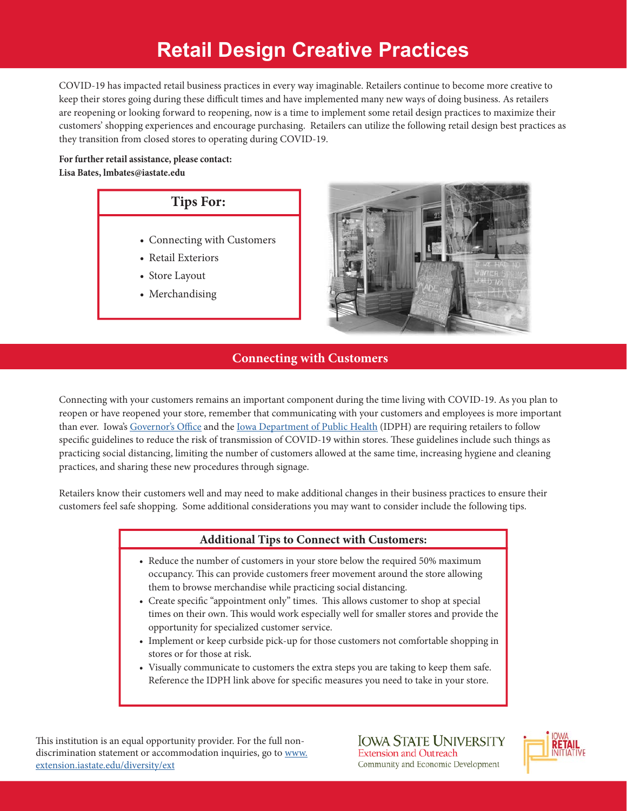# **Retail Design Creative Practices**

COVID-19 has impacted retail business practices in every way imaginable. Retailers continue to become more creative to keep their stores going during these difficult times and have implemented many new ways of doing business. As retailers are reopening or looking forward to reopening, now is a time to implement some retail design practices to maximize their customers' shopping experiences and encourage purchasing. Retailers can utilize the following retail design best practices as they transition from closed stores to operating during COVID-19.

**For further retail assistance, please contact: Lisa Bates, lmbates@iastate.edu**

### **Tips For:**

- Connecting with Customers
- Retail Exteriors
- Store Layout
- Merchandising



### **Connecting with Customers**

Connecting with your customers remains an important component during the time living with COVID-19. As you plan to reopen or have reopened your store, remember that communicating with your customers and employees is more important than ever. Iowa's Governor's Office and the Iowa Department of Public Health (IDPH) are requiring retailers to follow specific guidelines to reduce the risk of transmission of COVID-19 within stores. These guidelines include such things as practicing social distancing, limiting the number of customers allowed at the same time, increasing hygiene and cleaning practices, and sharing these new procedures through signage.

Retailers know their customers well and may need to make additional changes in their business practices to ensure their customers feel safe shopping. Some additional considerations you may want to consider include the following tips.

### **Additional Tips to Connect with Customers:**

- Reduce the number of customers in your store below the required 50% maximum occupancy. This can provide customers freer movement around the store allowing them to browse merchandise while practicing social distancing.
- Create specific "appointment only" times. This allows customer to shop at special times on their own. This would work especially well for smaller stores and provide the opportunity for specialized customer service.
- Implement or keep curbside pick-up for those customers not comfortable shopping in stores or for those at risk.
- Visually communicate to customers the extra steps you are taking to keep them safe. Reference the IDPH link above for specific measures you need to take in your store.

This institution is an equal opportunity provider. For the full nondiscrimination statement or accommodation inquiries, go to www. extension.iastate.edu/diversity/ext

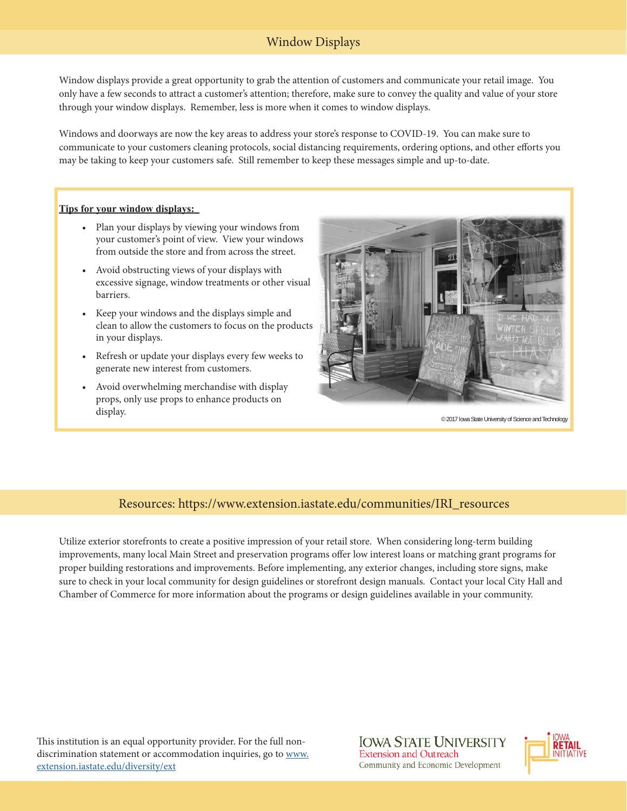### Window Displays

Window displays provide a great opportunity to grab the attention of customers and communicate your retail image. You only have a few seconds to attract a customer's attention; therefore, make sure to convey the quality and value of your store through your window displays. Remember, less is more when it comes to window displays.

Windows and doorways are now the key areas to address your store's response to COVID-19. You can make sure to communicate to your customers cleaning protocols, social distancing requirements, ordering options, and other efforts you may be taking to keep your customers safe. Still remember to keep these messages simple and up-to-date.

#### **Tips for your window displays:**

- Plan your displays by viewing your windows from your customer's point of view. View your windows from outside the store and from across the street.
- Avoid obstructing views of your displays with excessive signage, window treatments or other visual barriers.
- Keep your windows and the displays simple and clean to allow the customers to focus on the products in your displays.
- Refresh or update your displays every few weeks to generate new interest from customers.
- Avoid overwhelming merchandise with display props, only use props to enhance products on display.



© 2017 Iowa State University of Science and Technology

#### Resources: https://www.extension.iastate.edu/communities/IRI\_resources

Utilize exterior storefronts to create a positive impression of your retail store. When considering long-term building improvements, many local Main Street and preservation programs offer low interest loans or matching grant programs for proper building restorations and improvements. Before implementing, any exterior changes, including store signs, make sure to check in your local community for design guidelines or storefront design manuals. Contact your local City Hall and Chamber of Commerce for more information about the programs or design guidelines available in your community.

This institution is an equal opportunity provider. For the full nondiscrimination statement or accommodation inquiries, go to www. extension.iastate.edu/diversity/ext

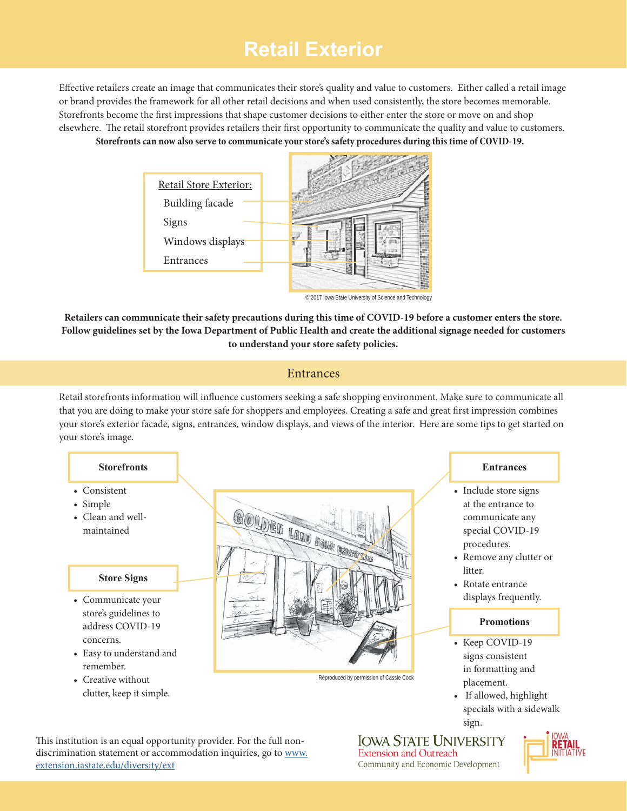## **Retail Exterior**

Effective retailers create an image that communicates their store's quality and value to customers. Either called a retail image or brand provides the framework for all other retail decisions and when used consistently, the store becomes memorable. Storefronts become the first impressions that shape customer decisions to either enter the store or move on and shop elsewhere. The retail storefront provides retailers their first opportunity to communicate the quality and value to customers. **Storefronts can now also serve to communicate your store's safety procedures during this time of COVID-19.**



© 2017 Iowa State University of Science and Technology

**Retailers can communicate their safety precautions during this time of COVID-19 before a customer enters the store. Follow guidelines set by the Iowa Department of Public Health and create the additional signage needed for customers to understand your store safety policies.**

#### **Entrances**

Retail storefronts information will influence customers seeking a safe shopping environment. Make sure to communicate all that you are doing to make your store safe for shoppers and employees. Creating a safe and great first impression combines your store's exterior facade, signs, entrances, window displays, and views of the interior. Here are some tips to get started on your store's image.

#### **Storefronts**

- Consistent
- Simple
- Clean and wellmaintained

#### **Store Signs**

- Communicate your store's guidelines to address COVID-19 concerns.
- Easy to understand and remember.
- Creative without clutter, keep it simple.



Reproduced by permission of Cassie Cook

#### **Entrances**

- Include store signs at the entrance to communicate any special COVID-19 procedures.
- Remove any clutter or litter.
- Rotate entrance displays frequently.

#### **Promotions**

- Keep COVID-19 signs consistent in formatting and placement.
- If allowed, highlight specials with a sidewalk sign.

This institution is an equal opportunity provider. For the full nondiscrimination statement or accommodation inquiries, go to www. extension.iastate.edu/diversity/ext

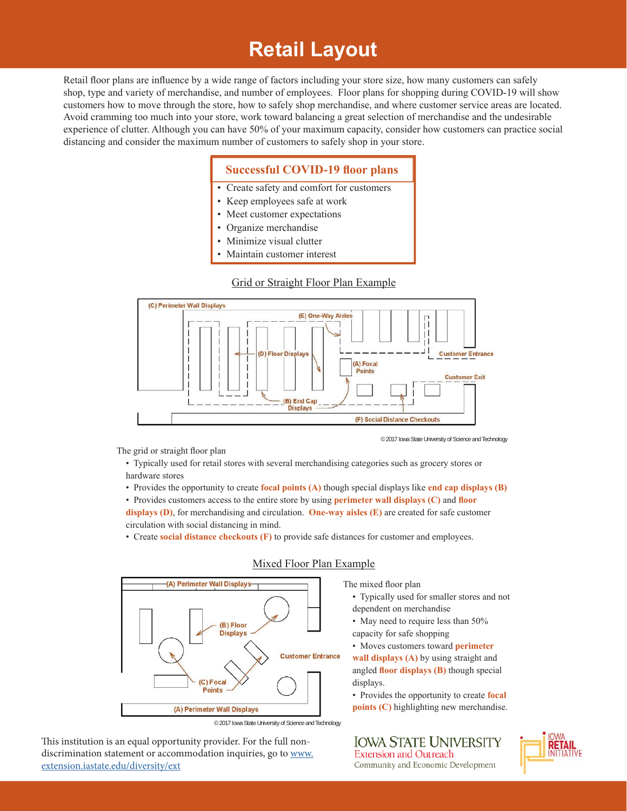## **Retail Layout**

Retail floor plans are influence by a wide range of factors including your store size, how many customers can safely shop, type and variety of merchandise, and number of employees. Floor plans for shopping during COVID-19 will show customers how to move through the store, how to safely shop merchandise, and where customer service areas are located. Avoid cramming too much into your store, work toward balancing a great selection of merchandise and the undesirable experience of clutter. Although you can have 50% of your maximum capacity, consider how customers can practice social distancing and consider the maximum number of customers to safely shop in your store.

#### **Successful COVID-19 floor plans**

- Create safety and comfort for customers
- Keep employees safe at work
- Meet customer expectations
- Organize merchandise
- Minimize visual clutter
- Maintain customer interest

#### Grid or Straight Floor Plan Example



The grid or straight floor plan

• Typically used for retail stores with several merchandising categories such as grocery stores or hardware stores

• Provides the opportunity to create **focal points (A)** though special displays like **end cap displays (B)**

• Provides customers access to the entire store by using **perimeter wall displays (C)** and **floor displays (D)**, for merchandising and circulation. **One-way aisles (E)** are created for safe customer circulation with social distancing in mind.

• Create **social distance checkouts (F)** to provide safe distances for customer and employees.



#### Mixed Floor Plan Example

The mixed floor plan

• Typically used for smaller stores and not dependent on merchandise

© 2017 Iowa State University of Science and Technology

- May need to require less than 50% capacity for safe shopping
- Moves customers toward **perimeter**

**wall displays (A)** by using straight and angled **floor displays** (B) though special displays.

• Provides the opportunity to create **focal points (C)** highlighting new merchandise.

This institution is an equal opportunity provider. For the full nondiscrimination statement or accommodation inquiries, go to www. extension.iastate.edu/diversity/ext